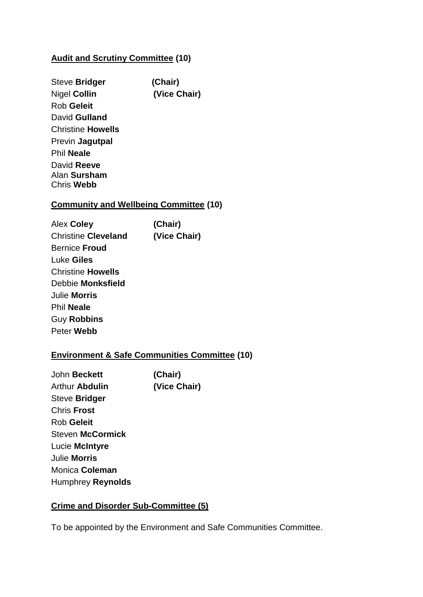# **Audit and Scrutiny Committee (10)**

| Steve Bridger            | (Chair)      |
|--------------------------|--------------|
| Nigel <b>Collin</b>      | (Vice Chair) |
| Rob Geleit               |              |
| David Gulland            |              |
| Christine <b>Howells</b> |              |
| Previn <b>Jagutpal</b>   |              |
| <b>Phil Neale</b>        |              |
| David Reeve              |              |
| Alan <b>Sursham</b>      |              |
| Chris <b>Webb</b>        |              |

# **Community and Wellbeing Committee (10)**

| Alex Coley                 | (Chair)      |
|----------------------------|--------------|
| <b>Christine Cleveland</b> | (Vice Chair) |
| <b>Bernice Froud</b>       |              |
| Luke Giles                 |              |
| <b>Christine Howells</b>   |              |
| Debbie Monksfield          |              |
| Julie Morris               |              |
| <b>Phil Neale</b>          |              |
| <b>Guy Robbins</b>         |              |
| Peter Webb                 |              |

# **Environment & Safe Communities Committee (10)**

| (Chair)      |
|--------------|
| (Vice Chair) |
|              |
|              |
|              |
|              |
|              |
|              |
|              |
|              |
|              |

# **Crime and Disorder Sub-Committee (5)**

To be appointed by the Environment and Safe Communities Committee.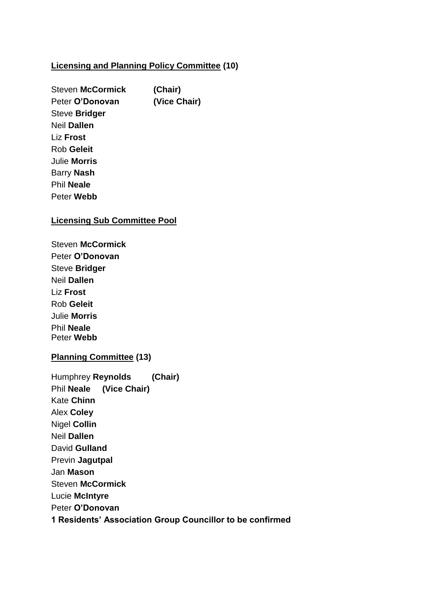#### **Licensing and Planning Policy Committee (10)**

Steven **McCormick (Chair)** Peter **O'Donovan (Vice Chair)** Steve **Bridger** Neil **Dallen** Liz **Frost** Rob **Geleit** Julie **Morris** Barry **Nash** Phil **Neale** Peter **Webb**

### **Licensing Sub Committee Pool**

Steven **McCormick**  Peter **O'Donovan** Steve **Bridger** Neil **Dallen** Liz **Frost** Rob **Geleit** Julie **Morris** Phil **Neale** Peter **Webb**

# **Planning Committee (13)**

| Humphrey Reynolds (Chair) |                                                           |
|---------------------------|-----------------------------------------------------------|
| Phil Neale (Vice Chair)   |                                                           |
| Kate <b>Chinn</b>         |                                                           |
| Alex Coley                |                                                           |
| Nigel Collin              |                                                           |
| Neil Dallen               |                                                           |
| David Gulland             |                                                           |
| Previn Jagutpal           |                                                           |
| Jan <b>Mason</b>          |                                                           |
| Steven McCormick          |                                                           |
| Lucie McIntyre            |                                                           |
| Peter O'Donovan           |                                                           |
|                           | 1 Residents' Association Group Councillor to be confirmed |
|                           |                                                           |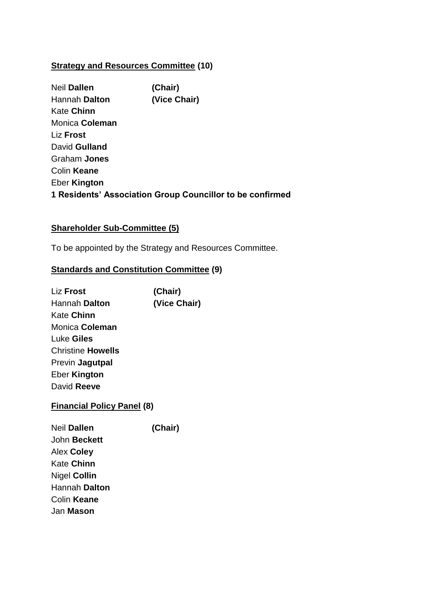# **Strategy and Resources Committee (10)**

Neil **Dallen (Chair)** Hannah **Dalton (Vice Chair)** Kate **Chinn** Monica **Coleman** Liz **Frost** David **Gulland** Graham **Jones** Colin **Keane** Eber **Kington 1 Residents' Association Group Councillor to be confirmed**

### **Shareholder Sub-Committee (5)**

To be appointed by the Strategy and Resources Committee.

#### **Standards and Constitution Committee (9)**

Liz **Frost (Chair)** Hannah **Dalton (Vice Chair)** Kate **Chinn** Monica **Coleman** Luke **Giles** Christine **Howells** Previn **Jagutpal** Eber **Kington** David **Reeve**

### **Financial Policy Panel (8)**

Neil **Dallen (Chair)** John **Beckett** Alex **Coley** Kate **Chinn** Nigel **Collin** Hannah **Dalton** Colin **Keane** Jan **Mason**